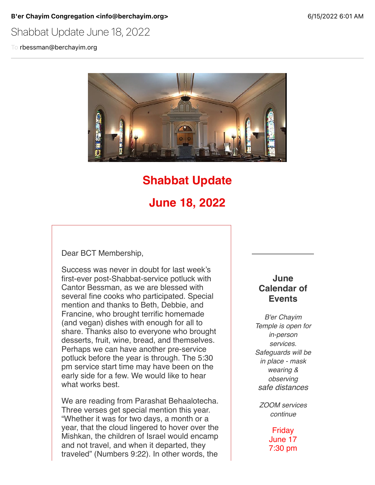#### B'er Chayim Congregation <info@berchayim.org> 6/15/2022 6:01 AM

Shabbat Update June 18, 2022

To rbessman@berchayim.org



## **Shabbat Update**

# **June 18, 2022**

Dear BCT Membership,

Success was never in doubt for last week's first-ever post-Shabbat-service potluck with Cantor Bessman, as we are blessed with several fine cooks who participated. Special mention and thanks to Beth, Debbie, and Francine, who brought terrific homemade (and vegan) dishes with enough for all to share. Thanks also to everyone who brought desserts, fruit, wine, bread, and themselves. Perhaps we can have another pre-service potluck before the year is through. The 5:30 pm service start time may have been on the early side for a few. We would like to hear what works best.

We are reading from Parashat Behaalotecha. Three verses get special mention this year. "Whether it was for two days, a month or a year, that the cloud lingered to hover over the Mishkan, the children of Israel would encamp and not travel, and when it departed, they traveled" (Numbers 9:22). In other words, the

### **June Calendar of Events**

*B'er Chayim Temple is open for in-person services. Safeguards will be in place - mask wearing & observing safe distances*

*ZOOM services continue*

> Friday June 17 7:30 pm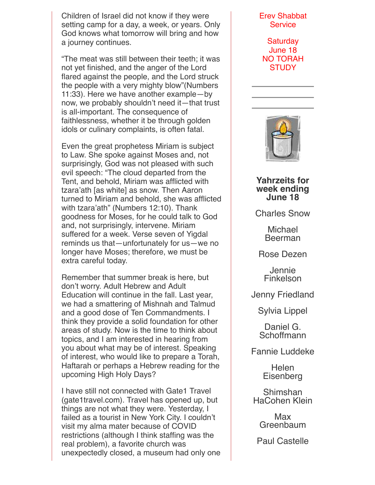Children of Israel did not know if they were setting camp for a day, a week, or years. Only God knows what tomorrow will bring and how a journey continues.

"The meat was still between their teeth; it was not yet finished, and the anger of the Lord flared against the people, and the Lord struck the people with a very mighty blow"(Numbers 11:33). Here we have another example—by now, we probably shouldn't need it—that trust is all-important. The consequence of faithlessness, whether it be through golden idols or culinary complaints, is often fatal.

Even the great prophetess Miriam is subject to Law. She spoke against Moses and, not surprisingly, God was not pleased with such evil speech: "The cloud departed from the Tent, and behold, Miriam was afflicted with tzara'ath [as white] as snow. Then Aaron turned to Miriam and behold, she was afflicted with tzara'ath" (Numbers 12:10). Thank goodness for Moses, for he could talk to God and, not surprisingly, intervene. Miriam suffered for a week. Verse seven of Yigdal reminds us that—unfortunately for us—we no longer have Moses; therefore, we must be extra careful today.

Remember that summer break is here, but don't worry. Adult Hebrew and Adult Education will continue in the fall. Last year, we had a smattering of Mishnah and Talmud and a good dose of Ten Commandments. I think they provide a solid foundation for other areas of study. Now is the time to think about topics, and I am interested in hearing from you about what may be of interest. Speaking of interest, who would like to prepare a Torah, Haftarah or perhaps a Hebrew reading for the upcoming High Holy Days?

I have still not connected with Gate1 Travel (gate1travel.com). Travel has opened up, but things are not what they were. Yesterday, I failed as a tourist in New York City. I couldn't visit my alma mater because of COVID restrictions (although I think staffing was the real problem), a favorite church was unexpectedly closed, a museum had only one

#### Erev Shabbat **Service**

**Saturday** June 18 NO TORAH **STUDY** 



**Yahrzeits for week ending June 18**

Charles Snow

**Michael** Beerman

Rose Dezen

Jennie Finkelson

Jenny Friedland

Sylvia Lippel

Daniel G. **Schoffmann** 

Fannie Luddeke

Helen **Eisenberg** 

Shimshan HaCohen Klein

> Max **Greenbaum**

Paul Castelle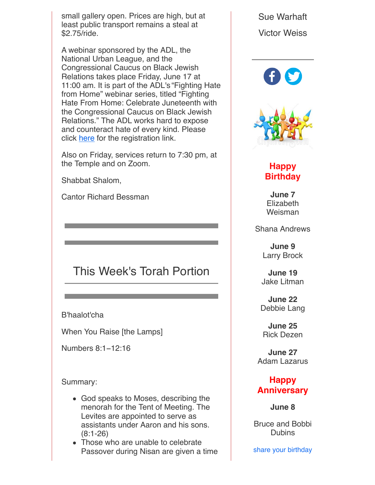small gallery open. Prices are high, but at least public transport remains a steal at \$2.75/ride.

A webinar sponsored by the ADL, the National Urban League, and the Congressional Caucus on Black Jewish Relations takes place Friday, June 17 at 11:00 am. It is part of the ADL's "Fighting Hate from Home" webinar series, titled "Fighting Hate From Home: Celebrate Juneteenth with the Congressional Caucus on Black Jewish Relations." The ADL works hard to expose and counteract hate of every kind. Please click [here](https://click.icptrack.com/icp/relay.php?r=119985007&msgid=903192&act=4970&c=592337&pid=8624480&destination=https%3A%2F%2Fadl.zoom.us%2Fwebinar%2Fregister%2F9416551449689%2FWN_zVGeZ7STRluSqWU7PdGleQ&cf=5618&v=4538a74a6dd32372e897c3efc15a4896f03f6e45a9e13c7620b92fbebd1c4b01) for the registration link.

Also on Friday, services return to 7:30 pm, at the Temple and on Zoom.

Shabbat Shalom,

Cantor Richard Bessman

# This Week's Torah Portion

B'haalot'cha

When You Raise [the Lamps]

Numbers 8:1−12:16

Summary:

- God speaks to Moses, describing the menorah for the Tent of Meeting. The Levites are appointed to serve as assistants under Aaron and his sons. (8:1-26)
- Those who are unable to celebrate Passover during Nisan are given a time

Sue Warhaft Victor Weiss





## **Happy Birthday**

**June 7 Elizabeth** Weisman

Shana Andrews

**June 9** Larry Brock

**June 19** Jake Litman

**June 22** Debbie Lang

**June 25** Rick Dezen

**June 27** Adam Lazarus

## **Happy Anniversary**

**June 8**

Bruce and Bobbi **Dubins** 

share your birthday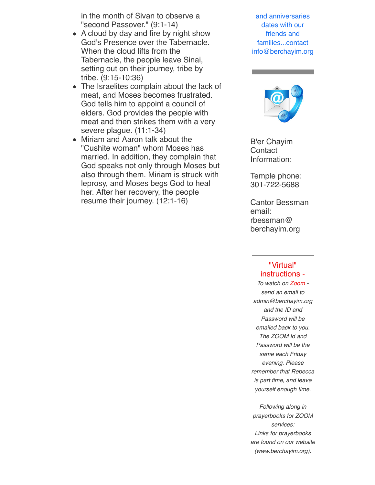in the month of Sivan to observe a "second Passover." (9:1-14)

- A cloud by day and fire by night show God's Presence over the Tabernacle. When the cloud lifts from the Tabernacle, the people leave Sinai, setting out on their journey, tribe by tribe. (9:15-10:36)
- The Israelites complain about the lack of meat, and Moses becomes frustrated. God tells him to appoint a council of elders. God provides the people with meat and then strikes them with a very severe plague. (11:1-34)
- Miriam and Aaron talk about the "Cushite woman" whom Moses has married. In addition, they complain that God speaks not only through Moses but also through them. Miriam is struck with leprosy, and Moses begs God to heal her. After her recovery, the people resume their journey. (12:1-16)

and anniversaries dates with our friends and families...contact info@berchayim.org



B'er Chayim **Contact** Information:

Temple phone: 301-722-5688

Cantor Bessman email: rbessman@ berchayim.org

### "Virtual" instructions -

*To watch on Zoom send an email to admin@berchayim.org and the ID and Password will be emailed back to you. The ZOOM Id and Password will be the same each Friday evening. Please remember that Rebecca is part time, and leave yourself enough time.*

*Following along in prayerbooks for ZOOM services: Links for prayerbooks are found on our website (www.berchayim.org).*